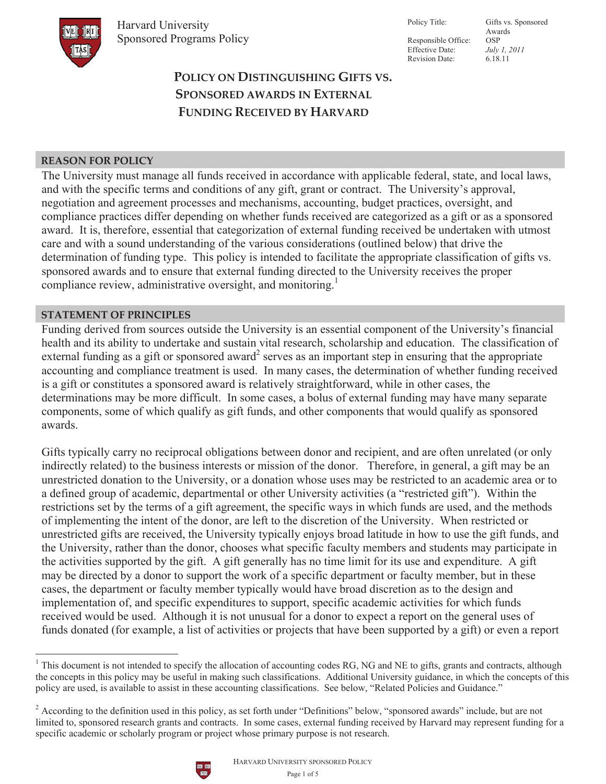

Responsible Office: OSP Effective Date: *July 1, 2011*  Revision Date: 6.18.11

Policy Title: Gifts vs. Sponsored Awards

# **ȱȱȱȱȱȱȱȱPOLICY ON DISTINGUISHING GIFTS VS. SPONSORED AWARDS IN EXTERNAL FUNDING RECEIVED BY HARVARD**

# **REASON FOR POLICY**

The University must manage all funds received in accordance with applicable federal, state, and local laws, and with the specific terms and conditions of any gift, grant or contract. The University's approval, negotiation and agreement processes and mechanisms, accounting, budget practices, oversight, and compliance practices differ depending on whether funds received are categorized as a gift or as a sponsored award. It is, therefore, essential that categorization of external funding received be undertaken with utmost care and with a sound understanding of the various considerations (outlined below) that drive the determination of funding type. This policy is intended to facilitate the appropriate classification of gifts vs. sponsored awards and to ensure that external funding directed to the University receives the proper compliance review, administrative oversight, and monitoring.<sup>1</sup>

### **STATEMENT OF PRINCIPLES**

Funding derived from sources outside the University is an essential component of the University's financial health and its ability to undertake and sustain vital research, scholarship and education. The classification of external funding as a gift or sponsored award<sup>2</sup> serves as an important step in ensuring that the appropriate accounting and compliance treatment is used. In many cases, the determination of whether funding received is a gift or constitutes a sponsored award is relatively straightforward, while in other cases, the determinations may be more difficult. In some cases, a bolus of external funding may have many separate components, some of which qualify as gift funds, and other components that would qualify as sponsored awards.

Gifts typically carry no reciprocal obligations between donor and recipient, and are often unrelated (or only indirectly related) to the business interests or mission of the donor. Therefore, in general, a gift may be an unrestricted donation to the University, or a donation whose uses may be restricted to an academic area or to a defined group of academic, departmental or other University activities (a "restricted gift"). Within the restrictions set by the terms of a gift agreement, the specific ways in which funds are used, and the methods of implementing the intent of the donor, are left to the discretion of the University. When restricted or unrestricted gifts are received, the University typically enjoys broad latitude in how to use the gift funds, and the University, rather than the donor, chooses what specific faculty members and students may participate in the activities supported by the gift. A gift generally has no time limit for its use and expenditure. A gift may be directed by a donor to support the work of a specific department or faculty member, but in these cases, the department or faculty member typically would have broad discretion as to the design and implementation of, and specific expenditures to support, specific academic activities for which funds received would be used. Although it is not unusual for a donor to expect a report on the general uses of funds donated (for example, a list of activities or projects that have been supported by a gift) or even a report

<sup>&</sup>lt;sup>2</sup> According to the definition used in this policy, as set forth under "Definitions" below, "sponsored awards" include, but are not limited to, sponsored research grants and contracts. In some cases, external funding received by Harvard may represent funding for a specific academic or scholarly program or project whose primary purpose is not research.



 $1$  This document is not intended to specify the allocation of accounting codes RG, NG and NE to gifts, grants and contracts, although the concepts in this policy may be useful in making such classifications. Additional University guidance, in which the concepts of this policy are used, is available to assist in these accounting classifications. See below, "Related Policies and Guidance."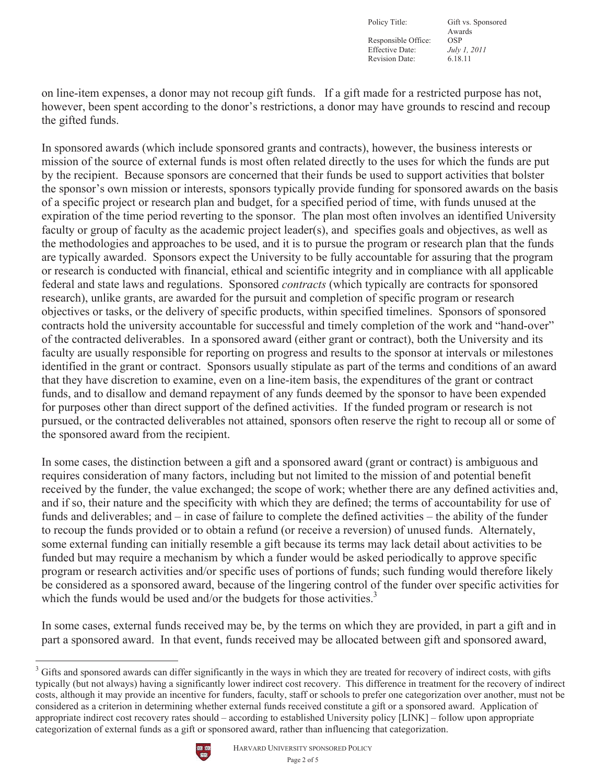Responsible Office: OSP<br>Effective Date: *July 1, 2011* Effective Date: *July 1, 2*<br>Revision Date: 6.18.11 Revision Date:

Policy Title: Gift vs. Sponsored Awards

on line-item expenses, a donor may not recoup gift funds. If a gift made for a restricted purpose has not, however, been spent according to the donor's restrictions, a donor may have grounds to rescind and recoup the gifted funds.

In sponsored awards (which include sponsored grants and contracts), however, the business interests or mission of the source of external funds is most often related directly to the uses for which the funds are put by the recipient. Because sponsors are concerned that their funds be used to support activities that bolster the sponsor's own mission or interests, sponsors typically provide funding for sponsored awards on the basis of a specific project or research plan and budget, for a specified period of time, with funds unused at the expiration of the time period reverting to the sponsor. The plan most often involves an identified University faculty or group of faculty as the academic project leader(s), and specifies goals and objectives, as well as the methodologies and approaches to be used, and it is to pursue the program or research plan that the funds are typically awarded. Sponsors expect the University to be fully accountable for assuring that the program or research is conducted with financial, ethical and scientific integrity and in compliance with all applicable federal and state laws and regulations. Sponsored *contracts* (which typically are contracts for sponsored research), unlike grants, are awarded for the pursuit and completion of specific program or research objectives or tasks, or the delivery of specific products, within specified timelines. Sponsors of sponsored contracts hold the university accountable for successful and timely completion of the work and "hand-over" of the contracted deliverables. In a sponsored award (either grant or contract), both the University and its faculty are usually responsible for reporting on progress and results to the sponsor at intervals or milestones identified in the grant or contract. Sponsors usually stipulate as part of the terms and conditions of an award that they have discretion to examine, even on a line-item basis, the expenditures of the grant or contract funds, and to disallow and demand repayment of any funds deemed by the sponsor to have been expended for purposes other than direct support of the defined activities. If the funded program or research is not pursued, or the contracted deliverables not attained, sponsors often reserve the right to recoup all or some of the sponsored award from the recipient.

In some cases, the distinction between a gift and a sponsored award (grant or contract) is ambiguous and requires consideration of many factors, including but not limited to the mission of and potential benefit received by the funder, the value exchanged; the scope of work; whether there are any defined activities and, and if so, their nature and the specificity with which they are defined; the terms of accountability for use of funds and deliverables; and – in case of failure to complete the defined activities – the ability of the funder to recoup the funds provided or to obtain a refund (or receive a reversion) of unused funds. Alternately, some external funding can initially resemble a gift because its terms may lack detail about activities to be funded but may require a mechanism by which a funder would be asked periodically to approve specific program or research activities and/or specific uses of portions of funds; such funding would therefore likely be considered as a sponsored award, because of the lingering control of the funder over specific activities for which the funds would be used and/or the budgets for those activities.<sup>3</sup>

In some cases, external funds received may be, by the terms on which they are provided, in part a gift and in part a sponsored award. In that event, funds received may be allocated between gift and sponsored award,

 $3$  Gifts and sponsored awards can differ significantly in the ways in which they are treated for recovery of indirect costs, with gifts typically (but not always) having a significantly lower indirect cost recovery. This difference in treatment for the recovery of indirect costs, although it may provide an incentive for funders, faculty, staff or schools to prefer one categorization over another, must not be considered as a criterion in determining whether external funds received constitute a gift or a sponsored award. Application of appropriate indirect cost recovery rates should – according to established University policy [LINK] – follow upon appropriate categorization of external funds as a gift or sponsored award, rather than influencing that categorization.

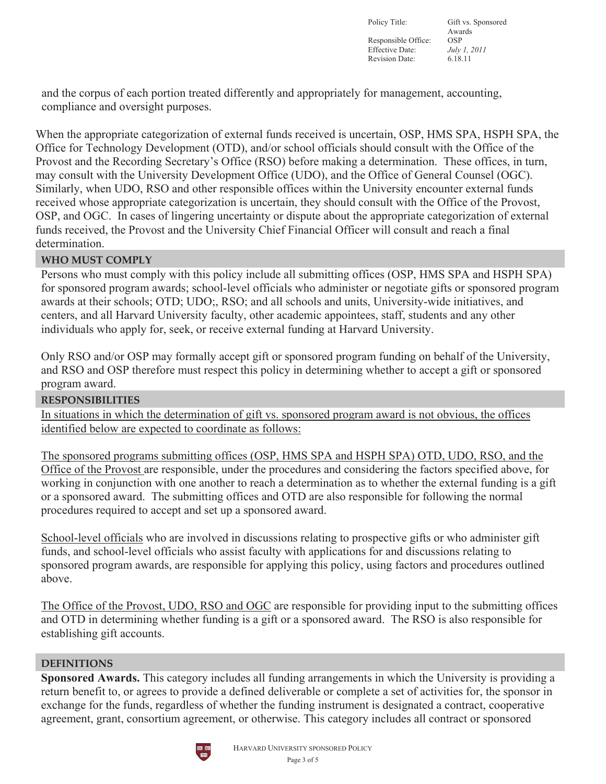Policy Title: Gift vs. Sponsored Awards Responsible Office: OSP<br>Effective Date: *July 1, 2011* Effective Date: Revision Date: 6.18.11

and the corpus of each portion treated differently and appropriately for management, accounting, compliance and oversight purposes.

When the appropriate categorization of external funds received is uncertain, OSP, HMS SPA, HSPH SPA, the Office for Technology Development (OTD), and/or school officials should consult with the Office of the Provost and the Recording Secretary's Office (RSO) before making a determination. These offices, in turn, may consult with the University Development Office (UDO), and the Office of General Counsel (OGC). Similarly, when UDO, RSO and other responsible offices within the University encounter external funds received whose appropriate categorization is uncertain, they should consult with the Office of the Provost, OSP, and OGC. In cases of lingering uncertainty or dispute about the appropriate categorization of external funds received, the Provost and the University Chief Financial Officer will consult and reach a final determination.

# **WHO MUST COMPLY**

Persons who must comply with this policy include all submitting offices (OSP, HMS SPA and HSPH SPA) for sponsored program awards; school-level officials who administer or negotiate gifts or sponsored program awards at their schools; OTD; UDO;, RSO; and all schools and units, University-wide initiatives, and centers, and all Harvard University faculty, other academic appointees, staff, students and any other individuals who apply for, seek, or receive external funding at Harvard University.

Only RSO and/or OSP may formally accept gift or sponsored program funding on behalf of the University, and RSO and OSP therefore must respect this policy in determining whether to accept a gift or sponsored program award.

#### **RESPONSIBILITIES**

In situations in which the determination of gift vs. sponsored program award is not obvious, the offices identified below are expected to coordinate as follows:

The sponsored programs submitting offices (OSP, HMS SPA and HSPH SPA) OTD, UDO, RSO, and the Office of the Provost are responsible, under the procedures and considering the factors specified above, for working in conjunction with one another to reach a determination as to whether the external funding is a gift or a sponsored award. The submitting offices and OTD are also responsible for following the normal procedures required to accept and set up a sponsored award.

School-level officials who are involved in discussions relating to prospective gifts or who administer gift funds, and school-level officials who assist faculty with applications for and discussions relating to sponsored program awards, are responsible for applying this policy, using factors and procedures outlined above.

The Office of the Provost, UDO, RSO and OGC are responsible for providing input to the submitting offices and OTD in determining whether funding is a gift or a sponsored award. The RSO is also responsible for establishing gift accounts.

#### **DEFINITIONS**

**Sponsored Awards.** This category includes all funding arrangements in which the University is providing a return benefit to, or agrees to provide a defined deliverable or complete a set of activities for, the sponsor in exchange for the funds, regardless of whether the funding instrument is designated a contract, cooperative agreement, grant, consortium agreement, or otherwise. This category includes all contract or sponsored

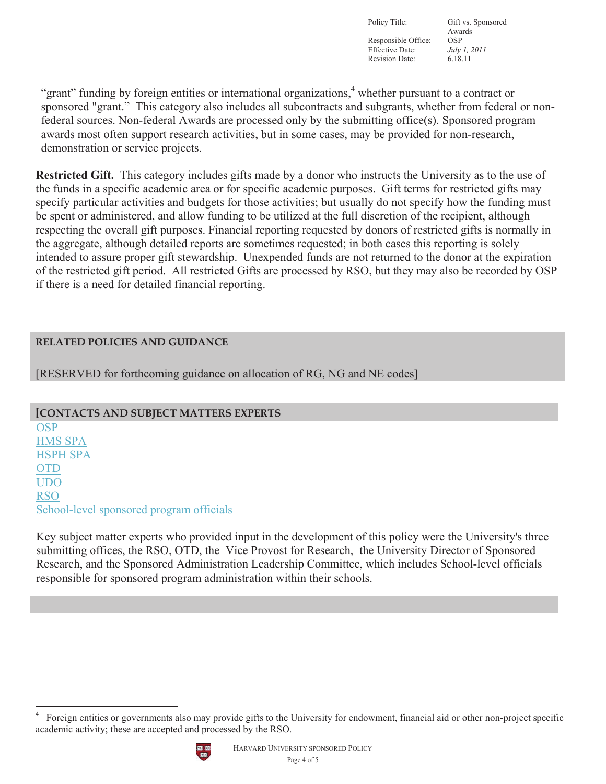Responsible Office: OSP<br>Effective Date: *July 1, 2011* Effective Date: *July 1, 2*<br>Revision Date: 6.18.11 Revision Date:

Policy Title: Gift vs. Sponsored Awards

"grant" funding by foreign entities or international organizations,<sup>4</sup> whether pursuant to a contract or sponsored "grant." This category also includes all subcontracts and subgrants, whether from federal or nonfederal sources. Non-federal Awards are processed only by the submitting office(s). Sponsored program awards most often support research activities, but in some cases, may be provided for non-research, demonstration or service projects.

**Restricted Gift.** This category includes gifts made by a donor who instructs the University as to the use of the funds in a specific academic area or for specific academic purposes. Gift terms for restricted gifts may specify particular activities and budgets for those activities; but usually do not specify how the funding must be spent or administered, and allow funding to be utilized at the full discretion of the recipient, although respecting the overall gift purposes. Financial reporting requested by donors of restricted gifts is normally in the aggregate, although detailed reports are sometimes requested; in both cases this reporting is solely intended to assure proper gift stewardship. Unexpended funds are not returned to the donor at the expiration of the restricted gift period. All restricted Gifts are processed by RSO, but they may also be recorded by OSP if there is a need for detailed financial reporting.

# **RELATED POLICIES AND GUIDANCE**

[RESERVED for forthcoming guidance on allocation of RG, NG and NE codes]

**[CONTACTS AND SUBJECT MATTERS EXPERTS OSP** HMS SPA HSPH SPA OTD UDO RSO School-level sponsored program officials

Key subject matter experts who provided input in the development of this policy were the University's three submitting offices, the RSO, OTD, the Vice Provost for Research, the University Director of Sponsored Research, and the Sponsored Administration Leadership Committee, which includes School-level officials responsible for sponsored program administration within their schools.

<sup>4</sup> Foreign entities or governments also may provide gifts to the University for endowment, financial aid or other non-project specific academic activity; these are accepted and processed by the RSO.